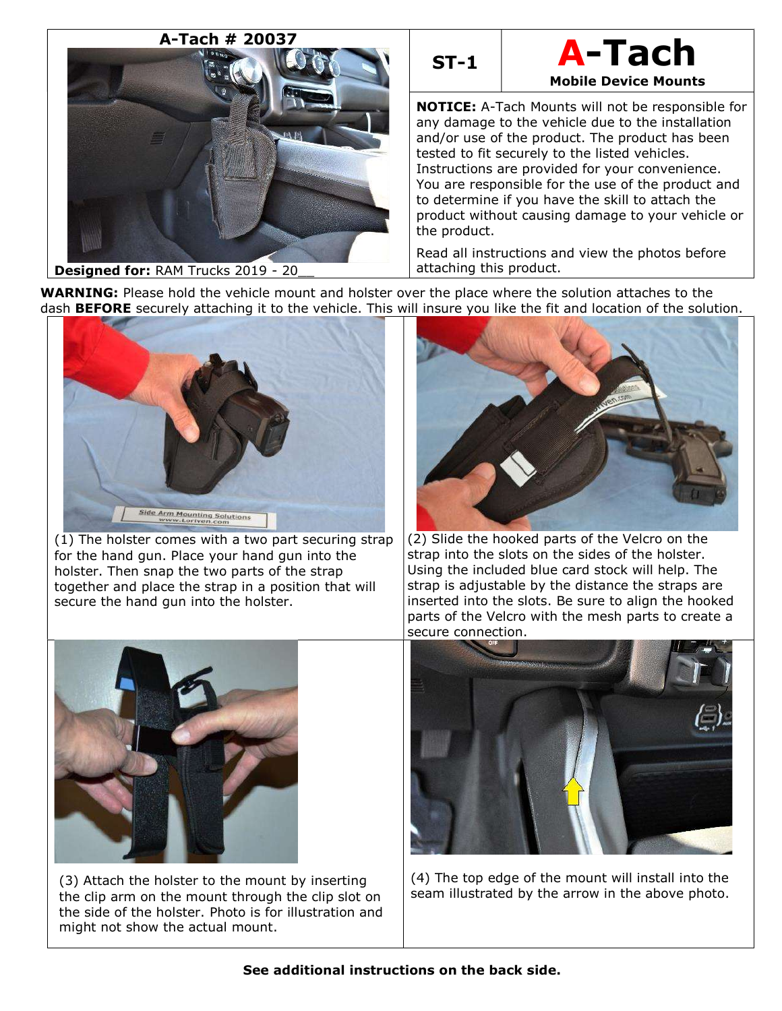



NOTICE: A-Tach Mounts will not be responsible for any damage to the vehicle due to the installation and/or use of the product. The product has been tested to fit securely to the listed vehicles. Instructions are provided for your convenience. You are responsible for the use of the product and to determine if you have the skill to attach the product without causing damage to your vehicle or the product.

Read all instructions and view the photos before attaching this product.

WARNING: Please hold the vehicle mount and holster over the place where the solution attaches to the dash **BEFORE** securely attaching it to the vehicle. This will insure you like the fit and location of the solution.



(1) The holster comes with a two part securing strap for the hand gun. Place your hand gun into the holster. Then snap the two parts of the strap together and place the strap in a position that will secure the hand gun into the holster.



(2) Slide the hooked parts of the Velcro on the strap into the slots on the sides of the holster. Using the included blue card stock will help. The strap is adjustable by the distance the straps are inserted into the slots. Be sure to align the hooked parts of the Velcro with the mesh parts to create a secure connection.



(3) Attach the holster to the mount by inserting the clip arm on the mount through the clip slot on the side of the holster. Photo is for illustration and might not show the actual mount.



(4) The top edge of the mount will install into the seam illustrated by the arrow in the above photo.